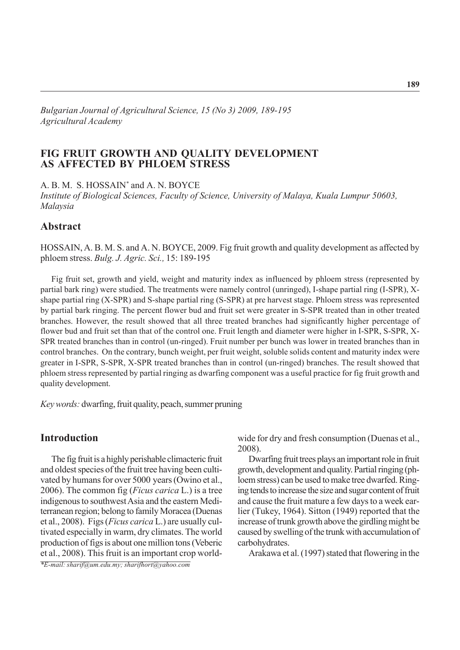*Bulgarian Journal of Agricultural Science, 15 (No 3) 2009, 189-195 Agricultural Academy*

### **FIG FRUIT GROWTH AND QUALITY DEVELOPMENT AS AFFECTED BY PHLOEM STRESS**

A. B. M. S. HOSSAIN\* and A. N. BOYCE

*Institute of Biological Sciences, Faculty of Science, University of Malaya, Kuala Lumpur 50603, Malaysia*

## **Abstract**

HOSSAIN, A. B. M. S. and A. N. BOYCE, 2009. Fig fruit growth and quality development as affected by phloem stress. *Bulg. J. Agric. Sci.,* 15: 189-195

Fig fruit set, growth and yield, weight and maturity index as influenced by phloem stress (represented by partial bark ring) were studied. The treatments were namely control (unringed), I-shape partial ring (I-SPR), Xshape partial ring (X-SPR) and S-shape partial ring (S-SPR) at pre harvest stage. Phloem stress was represented by partial bark ringing. The percent flower bud and fruit set were greater in S-SPR treated than in other treated branches. However, the result showed that all three treated branches had significantly higher percentage of flower bud and fruit set than that of the control one. Fruit length and diameter were higher in I-SPR, S-SPR, X-SPR treated branches than in control (un-ringed). Fruit number per bunch was lower in treated branches than in control branches. On the contrary, bunch weight, per fruit weight, soluble solids content and maturity index were greater in I-SPR, S-SPR, X-SPR treated branches than in control (un-ringed) branches. The result showed that phloem stress represented by partial ringing as dwarfing component was a useful practice for fig fruit growth and quality development.

*Key words:* dwarfing, fruit quality, peach, summer pruning

# **Introduction**

The fig fruit is a highly perishable climacteric fruit and oldest species of the fruit tree having been cultivated by humans for over 5000 years (Owino et al., 2006). The common fig (*Ficus carica* L.) is a tree indigenous to southwest Asia and the eastern Mediterranean region; belong to family Moracea (Duenas et al., 2008). Figs (*Ficus carica* L.) are usually cultivated especially in warm, dry climates. The world production of figs is about one million tons (Veberic et al., 2008). This fruit is an important crop world-

*\*E-mail: sharif@um.edu.my; sharifhort@yahoo.com*

wide for dry and fresh consumption (Duenas et al., 2008).

Dwarfing fruit trees plays an important role in fruit growth, development and quality. Partial ringing (phloem stress) can be used to make tree dwarfed. Ringing tends to increase the size and sugar content of fruit and cause the fruit mature a few days to a week earlier (Tukey, 1964). Sitton (1949) reported that the increase of trunk growth above the girdling might be caused by swelling of the trunk with accumulation of carbohydrates.

Arakawa et al. (1997) stated that flowering in the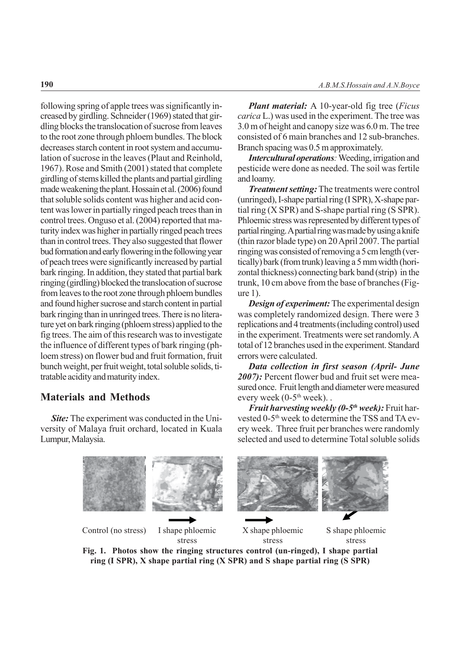following spring of apple trees was significantly increased by girdling. Schneider (1969) stated that girdling blocks the translocation of sucrose from leaves to the root zone through phloem bundles. The block decreases starch content in root system and accumulation of sucrose in the leaves (Plaut and Reinhold, 1967). Rose and Smith (2001) stated that complete girdling of stems killed the plants and partial girdling made weakening the plant. Hossain et al. (2006) found that soluble solids content was higher and acid content was lower in partially ringed peach trees than in control trees. Onguso et al. (2004) reported that maturity index was higher in partially ringed peach trees than in control trees. They also suggested that flower bud formation and early flowering in the following year of peach trees were significantly increased by partial bark ringing. In addition, they stated that partial bark ringing (girdling) blocked the translocation of sucrose from leaves to the root zone through phloem bundles and found higher sucrose and starch content in partial bark ringing than in unringed trees. There is no literature yet on bark ringing (phloem stress) applied to the fig trees. The aim of this research was to investigate the influence of different types of bark ringing (phloem stress) on flower bud and fruit formation, fruit bunch weight, per fruit weight, total soluble solids, titratable acidity and maturity index.

# **Materials and Methods**

*Site:* The experiment was conducted in the University of Malaya fruit orchard, located in Kuala Lumpur, Malaysia.

*Plant material:* A 10-year-old fig tree (*Ficus carica* L.) was used in the experiment. The tree was 3.0 m of height and canopy size was 6.0 m. The tree consisted of 6 main branches and 12 sub-branches. Branch spacing was 0.5 m approximately.

*Intercultural operations*: Weeding, irrigation and pesticide were done as needed. The soil was fertile and loamy.

*Treatment setting:* The treatments were control (unringed), I-shape partial ring (I SPR), X-shape partial ring  $(X$  SPR) and S-shape partial ring  $(S$  SPR). Phloemic stress was represented by different types of partial ringing. A partial ring was made by using a knife (thin razor blade type) on 20 April 2007. The partial ringing was consisted of removing a 5 cm length (vertically) bark (from trunk) leaving a 5 mm width (horizontal thickness) connecting bark band (strip) in the trunk, 10 cm above from the base of branches (Figure 1).

*Design of experiment:* The experimental design was completely randomized design. There were 3 replications and 4 treatments (including control) used in the experiment. Treatments were set randomly. A total of 12 branches used in the experiment. Standard errors were calculated.

*Data collection in first season (April- June 2007):* Percent flower bud and fruit set were measured once. Fruit length and diameter were measured every week  $(0-5<sup>th</sup>$  week)...

*<i>Fruit harvesting weekly (0-5<sup>th</sup> week)*: Fruit harvested 0-5<sup>th</sup> week to determine the TSS and TA every week. Three fruit per branches were randomly selected and used to determine Total soluble solids



**Fig. 1. Photos show the ringing structures control (un-ringed), I shape partial ring (I SPR), X shape partial ring (X SPR) and S shape partial ring (S SPR)**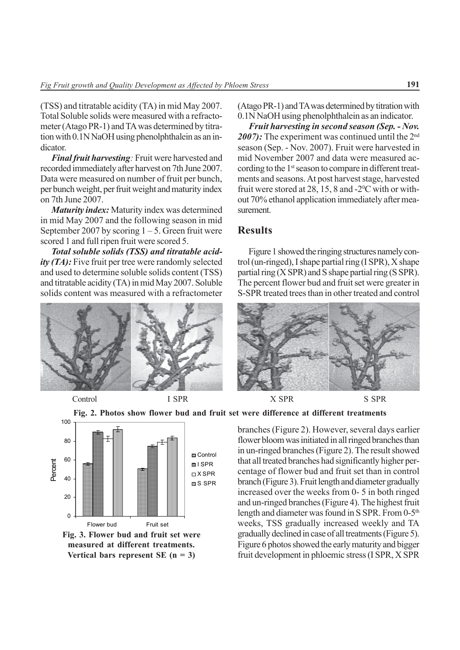(TSS) and titratable acidity (TA) in mid May 2007. Total Soluble solids were measured with a refractometer (Atago PR-1) and TA was determined by titration with 0.1N NaOH using phenolphthalein as an indicator.

*Final fruit harvesting:* Fruit were harvested and recorded immediately after harvest on 7th June 2007. Data were measured on number of fruit per bunch, per bunch weight, per fruit weight and maturity index on 7th June 2007.

*Maturity index:* Maturity index was determined in mid May 2007 and the following season in mid September 2007 by scoring  $1 - 5$ . Green fruit were scored 1 and full ripen fruit were scored 5.

*Total soluble solids (TSS) and titratable acidity (TA)*: Five fruit per tree were randomly selected and used to determine soluble solids content (TSS) and titratable acidity (TA) in mid May 2007. Soluble solids content was measured with a refractometer



(Atago PR-1) and TA was determined by titration with 0.1N NaOH using phenolphthalein as an indicator.

*Fruit harvesting in second season (Sep. - Nov.* 2007): The experiment was continued until the 2<sup>nd</sup> season (Sep. - Nov. 2007). Fruit were harvested in mid November 2007 and data were measured according to the 1<sup>st</sup> season to compare in different treatments and seasons. At post harvest stage, harvested fruit were stored at 28, 15, 8 and  $-2$ <sup>o</sup>C with or without 70% ethanol application immediately after measurement.

### **Results**

Figure 1 showed the ringing structures namely control (un-ringed), I shape partial ring (I SPR), X shape partial ring (X SPR) and S shape partial ring (S SPR). The percent flower bud and fruit set were greater in S-SPR treated trees than in other treated and control



Control I SPR X SPR S SPR







branches (Figure 2). However, several days earlier flower bloom was initiated in all ringed branches than in un-ringed branches (Figure 2). The result showed that all treated branches had significantly higher percentage of flower bud and fruit set than in control branch (Figure 3). Fruit length and diameter gradually increased over the weeks from 0- 5 in both ringed and un-ringed branches (Figure 4). The highest fruit length and diameter was found in S SPR. From 0-5<sup>th</sup> weeks, TSS gradually increased weekly and TA gradually declined in case of all treatments (Figure 5). Figure 6 photos showed the early maturity and bigger fruit development in phloemic stress (I SPR, X SPR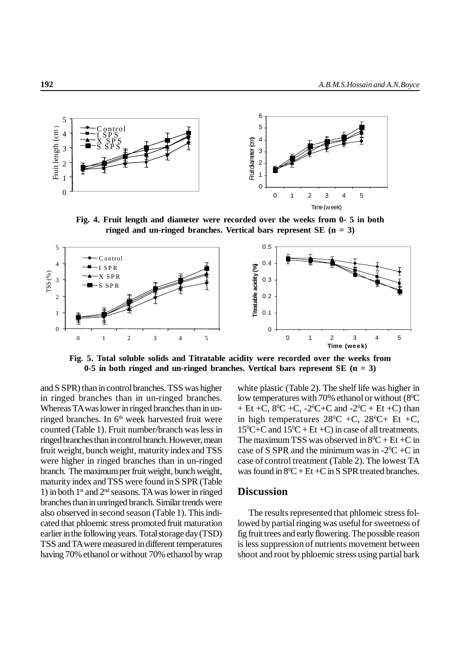

**Fig. 4. Fruit length and diameter were recorded over the weeks from 0- 5 in both ringed and un-ringed branches. Vertical bars represent SE (n = 3)**



**Fig. 5. Total soluble solids and Titratable acidity were recorded over the weeks from 0-5 in both ringed and un-ringed branches. Vertical bars represent SE (n = 3)**

and S SPR) than in control branches. TSS was higher in ringed branches than in un-ringed branches. Whereas TA was lower in ringed branches than in unringed branches. In 6<sup>th</sup> week harvested fruit were counted (Table 1). Fruit number/branch was less in ringed branches than in control branch. However, mean fruit weight, bunch weight, maturity index and TSS were higher in ringed branches than in un-ringed branch. The maximum per fruit weight, bunch weight, maturity index and TSS were found in S SPR (Table 1) in both  $1<sup>st</sup>$  and  $2<sup>nd</sup>$  seasons. TA was lower in ringed branches than in unringed branch. Similar trends were also observed in second season (Table 1). This indicated that phloemic stress promoted fruit maturation earlier in the following years. Total storage day (TSD) TSS and TA were measured in different temperatures having 70% ethanol or without 70% ethanol by wrap white plastic (Table 2). The shelf life was higher in low temperatures with 70% ethanol or without (8<sup>o</sup>C + Et +C,  $8^{\circ}$ C +C,  $-2^{\circ}$ C+C and  $-2^{\circ}$ C + Et +C) than in high temperatures  $28^{\circ}C$  +C,  $28^{\circ}C$ + Et +C,  $15^{\circ}$ C+C and  $15^{\circ}$ C + Et +C) in case of all treatments. The maximum TSS was observed in  $8^{\circ}C + Et + C$  in case of S SPR and the minimum was in  $-2$ <sup>o</sup>C +C in case of control treatment (Table 2). The lowest TA was found in  $8^{\circ}C + Et + C$  in S SPR treated branches.

### **Discussion**

The results represented that phlomeic stress followed by partial ringing was useful for sweetness of fig fruit trees and early flowering. The possible reason is less suppression of nutrients movement between shoot and root by phloemic stress using partial bark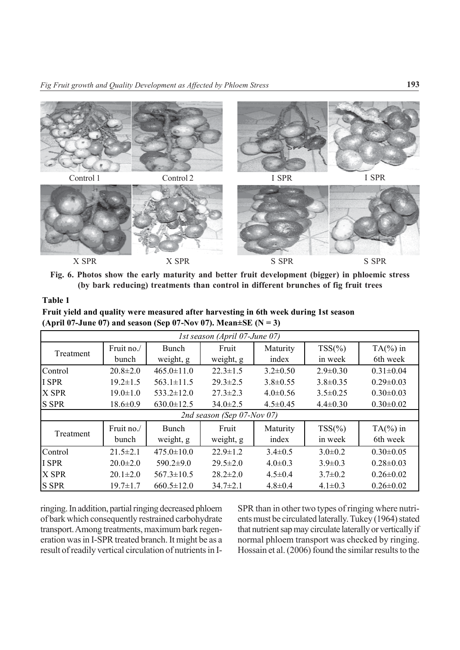

**Fig. 6. Photos show the early maturity and better fruit development (bigger) in phloemic stress (by bark reducing) treatments than control in different brunches of fig fruit trees**

#### **Table 1**

**Fruit yield and quality were measured after harvesting in 6th week during 1st season (April 07-June 07) and season (Sep 07-Nov 07). Mean** $\pm$ **SE (N = 3)** 

| 1st season (April 07-June 07) |                     |                           |                    |                   |                       |                         |  |  |  |  |  |
|-------------------------------|---------------------|---------------------------|--------------------|-------------------|-----------------------|-------------------------|--|--|--|--|--|
| Treatment                     | Fruit no./<br>bunch | <b>Bunch</b><br>weight, g | Fruit<br>weight, g | Maturity<br>index | $TSS(\% )$<br>in week | $TA(\%)$ in<br>6th week |  |  |  |  |  |
| Control                       | $20.8 \pm 2.0$      | $465.0 \pm 11.0$          | $22.3 \pm 1.5$     | $3.2 \pm 0.50$    | $2.9 \pm 0.30$        | $0.31 \pm 0.04$         |  |  |  |  |  |
| <b>I SPR</b>                  | $19.2 \pm 1.5$      | $563.1 \pm 11.5$          | $29.3 \pm 2.5$     | $3.8 \pm 0.55$    | $3.8 \pm 0.35$        | $0.29 \pm 0.03$         |  |  |  |  |  |
| X SPR                         | $19.0 \pm 1.0$      | $533.2 \pm 12.0$          | $27.3 \pm 2.3$     | $4.0 \pm 0.56$    | $3.5 \pm 0.25$        | $0.30 \pm 0.03$         |  |  |  |  |  |
| <b>S SPR</b>                  | $18.6 \pm 0.9$      | $630.0 \pm 12.5$          | $34.0 \pm 2.5$     | $4.5 \pm 0.45$    | $4.4 \pm 0.30$        | $0.30 \pm 0.02$         |  |  |  |  |  |
| 2nd season (Sep 07-Nov 07)    |                     |                           |                    |                   |                       |                         |  |  |  |  |  |
| Treatment                     | Fruit no./<br>bunch | Bunch<br>weight, g        | Fruit<br>weight, g | Maturity<br>index | $TSS(\% )$<br>in week | $TA(\%)$ in<br>6th week |  |  |  |  |  |
| Control                       | $21.5 \pm 2.1$      | $475.0 \pm 10.0$          | $22.9 \pm 1.2$     | $3.4 \pm 0.5$     | $3.0 \pm 0.2$         | $0.30 \pm 0.05$         |  |  |  |  |  |
| I SPR                         | $20.0 \pm 2.0$      | $590.2 \pm 9.0$           | $29.5 \pm 2.0$     | $4.0 \pm 0.3$     | $3.9 \pm 0.3$         | $0.28 \pm 0.03$         |  |  |  |  |  |
| X SPR                         | $20.1 \pm 2.0$      | $567.3 \pm 10.5$          | $28.2 \pm 2.0$     | $4.5 \pm 0.4$     | $3.7 \pm 0.2$         | $0.26 \pm 0.02$         |  |  |  |  |  |
| <b>S SPR</b>                  | $19.7 \pm 1.7$      | $660.5 \pm 12.0$          | $34.7 \pm 2.1$     | $4.8 \pm 0.4$     | $4.1 \pm 0.3$         | $0.26 \pm 0.02$         |  |  |  |  |  |

ringing. In addition, partial ringing decreased phloem of bark which consequently restrained carbohydrate transport. Among treatments, maximum bark regeneration was in I-SPR treated branch. It might be as a result of readily vertical circulation of nutrients in I-

SPR than in other two types of ringing where nutrients must be circulated laterally. Tukey (1964) stated that nutrient sap may circulate laterally or vertically if normal phloem transport was checked by ringing. Hossain et al. (2006) found the similar results to the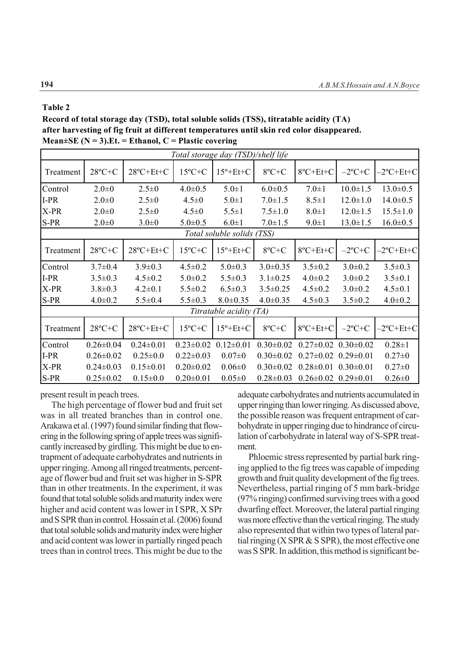#### **Table 2**

**Record of total storage day (TSD), total soluble solids (TSS), titratable acidity (TA) after harvesting of fig fruit at different temperatures until skin red color disappeared. Mean±SE (N = 3).Et. = Ethanol, C = Plastic covering**

| Total storage day (TSD)/shelf life |                   |                     |                  |                    |                  |                 |                 |                |  |  |  |
|------------------------------------|-------------------|---------------------|------------------|--------------------|------------------|-----------------|-----------------|----------------|--|--|--|
| Treatment                          | $28^{\circ}C + C$ | $28^{\circ}$ C+Et+C | $15^{\circ}$ C+C | $15^{\circ}$ +Et+C | $8^{\circ}C + C$ | 8°C+Et+C        | $-2$ °C+C       | $-2$ °C+Et+C   |  |  |  |
| Control                            | $2.0 \pm 0$       | $2.5 \pm 0$         | $4.0 \pm 0.5$    | $5.0 \pm 1$        | $6.0 \pm 0.5$    | $7.0 \pm 1$     | $10.0 \pm 1.5$  | $13.0 \pm 0.5$ |  |  |  |
| $I-PR$                             | $2.0 \pm 0$       | $2.5 \pm 0$         | $4.5 \pm 0$      | $5.0 \pm 1$        | $7.0 \pm 1.5$    | $8.5 \pm 1$     | $12.0 \pm 1.0$  | $14.0 \pm 0.5$ |  |  |  |
| X-PR                               | $2.0 \pm 0$       | $2.5 \pm 0$         | $4.5 \pm 0$      | $5.5 \pm 1$        | $7.5 \pm 1.0$    | $8.0 \pm 1$     | $12.0 \pm 1.5$  | $15.5 \pm 1.0$ |  |  |  |
| S-PR                               | $2.0 \pm 0$       | $3.0 \pm 0$         | $5.0 \pm 0.5$    | $6.0 \pm 1$        | $7.0 \pm 1.5$    | $9.0 \pm 1$     | $13.0 \pm 1.5$  | $16.0 \pm 0.5$ |  |  |  |
| Total soluble solids (TSS)         |                   |                     |                  |                    |                  |                 |                 |                |  |  |  |
| Treatment                          | $28^{\circ}C + C$ | $28^oC + Et + C$    | $15^{\circ}$ C+C | $15^{\circ}$ +Et+C | $8^{\circ}C + C$ | 8°C+Et+C        | $-2$ °C+C       | $-2$ °C+Et+C   |  |  |  |
| Control                            | $3.7 \pm 0.4$     | $3.9 \pm 0.3$       | $4.5 \pm 0.2$    | $5.0 \pm 0.3$      | $3.0 \pm 0.35$   | $3.5 \pm 0.2$   | $3.0 \pm 0.2$   | $3.5 \pm 0.3$  |  |  |  |
| $I-PR$                             | $3.5 \pm 0.3$     | $4.5 \pm 0.2$       | $5.0 \pm 0.2$    | $5.5 \pm 0.3$      | $3.1 \pm 0.25$   | $4.0 \pm 0.2$   | $3.0 \pm 0.2$   | $3.5 \pm 0.1$  |  |  |  |
| X-PR                               | $3.8 \pm 0.3$     | $4.2 \pm 0.1$       | $5.5 \pm 0.2$    | $6.5 \pm 0.3$      | $3.5 \pm 0.25$   | $4.5 \pm 0.2$   | $3.0 \pm 0.2$   | $4.5 \pm 0.1$  |  |  |  |
| S-PR                               | $4.0 \pm 0.2$     | $5.5 \pm 0.4$       | $5.5 \pm 0.3$    | $8.0 \pm 0.35$     | $4.0 \pm 0.35$   | $4.5 \pm 0.3$   | $3.5 \pm 0.2$   | $4.0 \pm 0.2$  |  |  |  |
| Titratable acidity (TA)            |                   |                     |                  |                    |                  |                 |                 |                |  |  |  |
| Treatment                          | $28^{\circ}C + C$ | $28^oC + Et + C$    | $15^{\circ}$ C+C | $15^{\circ}$ +Et+C | $8^{\circ}C + C$ | 8°C+Et+C        | $-2$ °C+C       | $-2$ °C+Et+C   |  |  |  |
| Control                            | $0.26 \pm 0.04$   | $0.24 \pm 0.01$     | $0.23 \pm 0.02$  | $0.12 \pm 0.01$    | $0.30 \pm 0.02$  | $0.27 \pm 0.02$ | $0.30 \pm 0.02$ | $0.28 \pm 1$   |  |  |  |
| $I-PR$                             | $0.26 \pm 0.02$   | $0.25 \pm 0.0$      | $0.22 \pm 0.03$  | $0.07 \pm 0$       | $0.30 \pm 0.02$  | $0.27 \pm 0.02$ | $0.29 \pm 0.01$ | $0.27 \pm 0$   |  |  |  |
| X-PR                               | $0.24 \pm 0.03$   | $0.15 \pm 0.01$     | $0.20 \pm 0.02$  | $0.06 \pm 0$       | $0.30 \pm 0.02$  | $0.28 \pm 0.01$ | $0.30 \pm 0.01$ | $0.27 \pm 0$   |  |  |  |
| S-PR                               | $0.25 \pm 0.02$   | $0.15 \pm 0.0$      | $0.20 \pm 0.01$  | $0.05 \pm 0$       | $0.28 \pm 0.03$  | $0.26 \pm 0.02$ | $0.29 \pm 0.01$ | $0.26 \pm 0$   |  |  |  |

present result in peach trees.

The high percentage of flower bud and fruit set was in all treated branches than in control one. Arakawa et al. (1997) found similar finding that flowering in the following spring of apple trees was significantly increased by girdling. This might be due to entrapment of adequate carbohydrates and nutrients in upper ringing. Among all ringed treatments, percentage of flower bud and fruit set was higher in S-SPR than in other treatments. In the experiment, it was found that total soluble solids and maturity index were higher and acid content was lower in I SPR, X SPr and S SPR than in control. Hossain et al. (2006) found that total soluble solids and maturity index were higher and acid content was lower in partially ringed peach trees than in control trees. This might be due to the

adequate carbohydrates and nutrients accumulated in upper ringing than lower ringing. As discussed above, the possible reason was frequent entrapment of carbohydrate in upper ringing due to hindrance of circulation of carbohydrate in lateral way of S-SPR treatment.

Phloemic stress represented by partial bark ringing applied to the fig trees was capable of impeding growth and fruit quality development of the fig trees. Nevertheless, partial ringing of 5 mm bark-bridge (97% ringing) confirmed surviving trees with a good dwarfing effect. Moreover, the lateral partial ringing was more effective than the vertical ringing. The study also represented that within two types of lateral partial ringing  $(X$  SPR  $\&$  S SPR), the most effective one was S SPR. In addition, this method is significant be